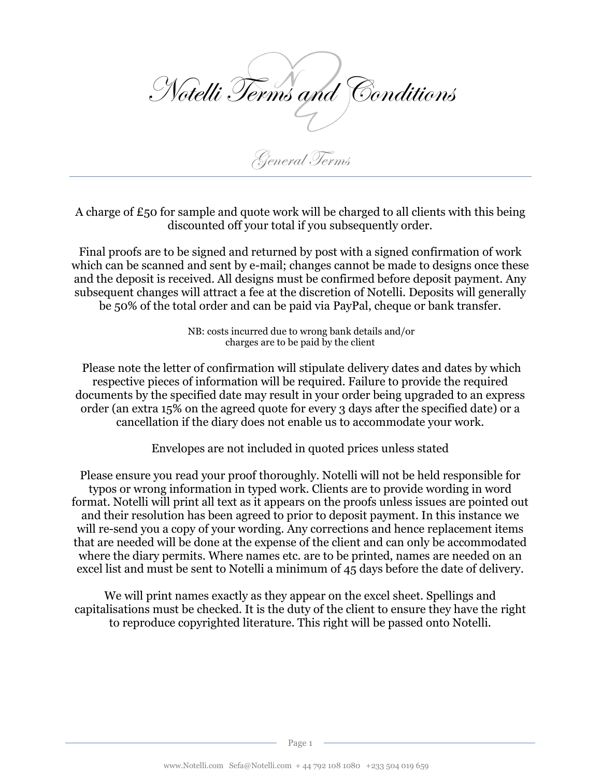

A charge of £50 for sample and quote work will be charged to all clients with this being discounted off your total if you subsequently order.

Final proofs are to be signed and returned by post with a signed confirmation of work which can be scanned and sent by e-mail; changes cannot be made to designs once these and the deposit is received. All designs must be confirmed before deposit payment. Any subsequent changes will attract a fee at the discretion of Notelli. Deposits will generally be 50% of the total order and can be paid via PayPal, cheque or bank transfer.

> NB: costs incurred due to wrong bank details and/or charges are to be paid by the client

Please note the letter of confirmation will stipulate delivery dates and dates by which respective pieces of information will be required. Failure to provide the required documents by the specified date may result in your order being upgraded to an express order (an extra 15% on the agreed quote for every 3 days after the specified date) or a cancellation if the diary does not enable us to accommodate your work.

Envelopes are not included in quoted prices unless stated

Please ensure you read your proof thoroughly. Notelli will not be held responsible for typos or wrong information in typed work. Clients are to provide wording in word format. Notelli will print all text as it appears on the proofs unless issues are pointed out and their resolution has been agreed to prior to deposit payment. In this instance we will re-send you a copy of your wording. Any corrections and hence replacement items that are needed will be done at the expense of the client and can only be accommodated where the diary permits. Where names etc. are to be printed, names are needed on an excel list and must be sent to Notelli a minimum of 45 days before the date of delivery.

We will print names exactly as they appear on the excel sheet. Spellings and capitalisations must be checked. It is the duty of the client to ensure they have the right to reproduce copyrighted literature. This right will be passed onto Notelli.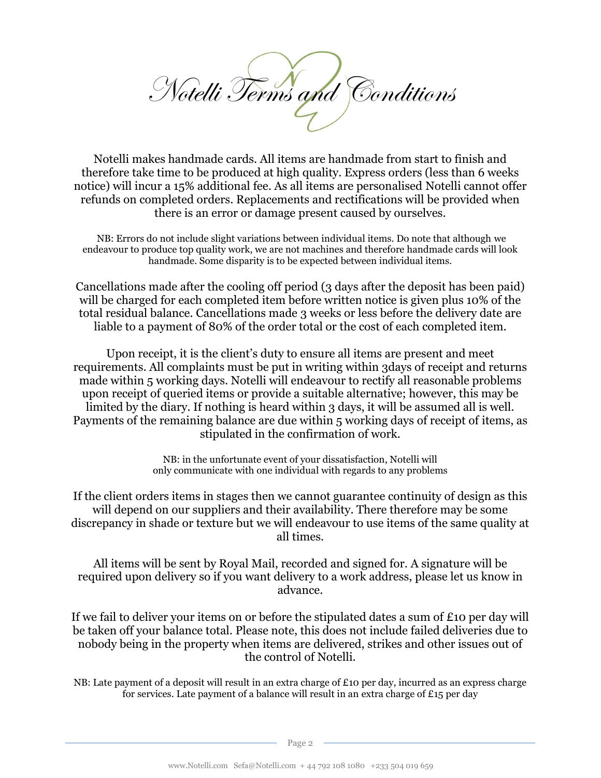

Notelli makes handmade cards. All items are handmade from start to finish and therefore take time to be produced at high quality. Express orders (less than 6 weeks notice) will incur a 15% additional fee. As all items are personalised Notelli cannot offer refunds on completed orders. Replacements and rectifications will be provided when there is an error or damage present caused by ourselves.

NB: Errors do not include slight variations between individual items. Do note that although we endeavour to produce top quality work, we are not machines and therefore handmade cards will look handmade. Some disparity is to be expected between individual items.

Cancellations made after the cooling off period (3 days after the deposit has been paid) will be charged for each completed item before written notice is given plus 10% of the total residual balance. Cancellations made 3 weeks or less before the delivery date are liable to a payment of 80% of the order total or the cost of each completed item.

Upon receipt, it is the client's duty to ensure all items are present and meet requirements. All complaints must be put in writing within 3days of receipt and returns made within 5 working days. Notelli will endeavour to rectify all reasonable problems upon receipt of queried items or provide a suitable alternative; however, this may be limited by the diary. If nothing is heard within 3 days, it will be assumed all is well. Payments of the remaining balance are due within 5 working days of receipt of items, as stipulated in the confirmation of work.

> NB: in the unfortunate event of your dissatisfaction, Notelli will only communicate with one individual with regards to any problems

If the client orders items in stages then we cannot guarantee continuity of design as this will depend on our suppliers and their availability. There therefore may be some discrepancy in shade or texture but we will endeavour to use items of the same quality at all times.

All items will be sent by Royal Mail, recorded and signed for. A signature will be required upon delivery so if you want delivery to a work address, please let us know in advance.

If we fail to deliver your items on or before the stipulated dates a sum of £10 per day will be taken off your balance total. Please note, this does not include failed deliveries due to nobody being in the property when items are delivered, strikes and other issues out of the control of Notelli.

NB: Late payment of a deposit will result in an extra charge of £10 per day, incurred as an express charge for services. Late payment of a balance will result in an extra charge of £15 per day